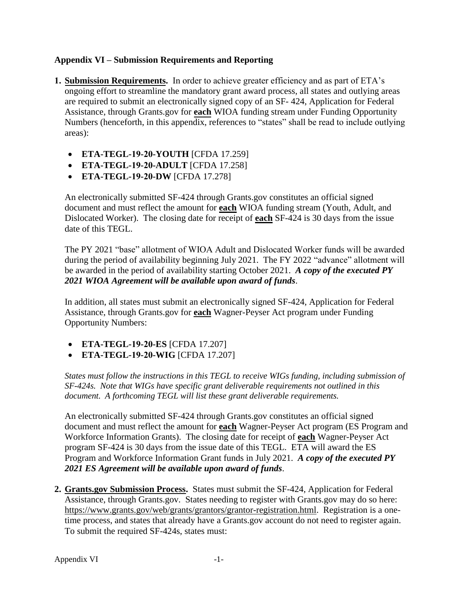## **Appendix VI – Submission Requirements and Reporting**

- **1. Submission Requirements.** In order to achieve greater efficiency and as part of ETA's ongoing effort to streamline the mandatory grant award process, all states and outlying areas are required to submit an electronically signed copy of an SF- 424, Application for Federal Assistance, through Grants.gov for **each** WIOA funding stream under Funding Opportunity Numbers (henceforth, in this appendix, references to "states" shall be read to include outlying areas):
	- **ETA-TEGL-19-20-YOUTH** [CFDA 17.259]
	- **ETA-TEGL-19-20-ADULT** [CFDA 17.258]
	- **ETA-TEGL-19-20-DW** [CFDA 17.278]

An electronically submitted SF-424 through Grants.gov constitutes an official signed document and must reflect the amount for **each** WIOA funding stream (Youth, Adult, and Dislocated Worker). The closing date for receipt of **each** SF-424 is 30 days from the issue date of this TEGL.

The PY 2021 "base" allotment of WIOA Adult and Dislocated Worker funds will be awarded during the period of availability beginning July 2021. The FY 2022 "advance" allotment will be awarded in the period of availability starting October 2021. *A copy of the executed PY 2021 WIOA Agreement will be available upon award of funds*.

In addition, all states must submit an electronically signed SF-424, Application for Federal Assistance, through Grants.gov for **each** Wagner-Peyser Act program under Funding Opportunity Numbers:

- **ETA-TEGL-19-20-ES** [CFDA 17.207]
- **ETA-TEGL-19-20-WIG** [CFDA 17.207]

*States must follow the instructions in this TEGL to receive WIGs funding, including submission of SF-424s. Note that WIGs have specific grant deliverable requirements not outlined in this document. A forthcoming TEGL will list these grant deliverable requirements.* 

An electronically submitted SF-424 through Grants.gov constitutes an official signed document and must reflect the amount for **each** Wagner-Peyser Act program (ES Program and Workforce Information Grants). The closing date for receipt of **each** Wagner-Peyser Act program SF-424 is 30 days from the issue date of this TEGL. ETA will award the ES Program and Workforce Information Grant funds in July 2021. *A copy of the executed PY 2021 ES Agreement will be available upon award of funds*.

**2. Grants.gov Submission Process.** States must submit the SF-424, Application for Federal Assistance, through Grants.gov. States needing to register with Grants.gov may do so here: [https://www.grants.gov/web/grants/grantors/grantor-registration.html.](https://www.grants.gov/web/grants/grantors/grantor-registration.html) Registration is a onetime process, and states that already have a Grants.gov account do not need to register again. To submit the required SF-424s, states must: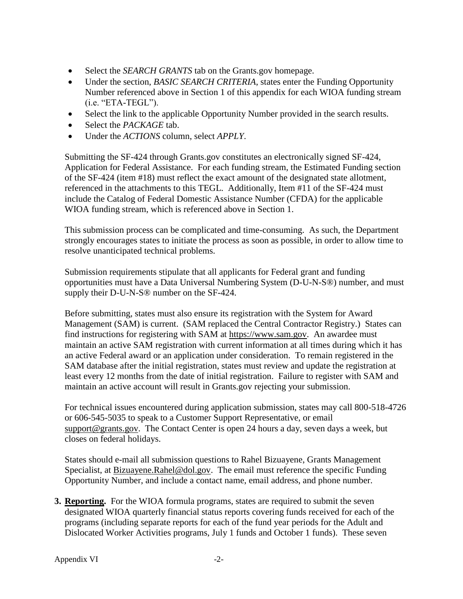- Select the *SEARCH GRANTS* tab on the Grants.gov homepage.
- Under the section, *BASIC SEARCH CRITERIA*, states enter the Funding Opportunity Number referenced above in Section 1 of this appendix for each WIOA funding stream (i.e. "ETA-TEGL").
- Select the link to the applicable Opportunity Number provided in the search results.
- Select the *PACKAGE* tab.
- Under the *ACTIONS* column, select *APPLY*.

Submitting the SF-424 through Grants.gov constitutes an electronically signed SF-424, Application for Federal Assistance. For each funding stream, the Estimated Funding section of the SF-424 (item #18) must reflect the exact amount of the designated state allotment, referenced in the attachments to this TEGL. Additionally, Item #11 of the SF-424 must include the Catalog of Federal Domestic Assistance Number (CFDA) for the applicable WIOA funding stream, which is referenced above in Section 1.

This submission process can be complicated and time-consuming. As such, the Department strongly encourages states to initiate the process as soon as possible, in order to allow time to resolve unanticipated technical problems.

Submission requirements stipulate that all applicants for Federal grant and funding opportunities must have a Data Universal Numbering System (D-U-N-S®) number, and must supply their D-U-N-S® number on the SF-424.

Before submitting, states must also ensure its registration with the System for Award Management (SAM) is current. (SAM replaced the Central Contractor Registry.) States can find instructions for registering with SAM at [https://www.sam.gov.](https://www.sam.gov/) An awardee must maintain an active SAM registration with current information at all times during which it has an active Federal award or an application under consideration. To remain registered in the SAM database after the initial registration, states must review and update the registration at least every 12 months from the date of initial registration. Failure to register with SAM and maintain an active account will result in Grants.gov rejecting your submission.

For technical issues encountered during application submission, states may call 800-518-4726 or 606-545-5035 to speak to a Customer Support Representative, or email [support@grants.gov.](mailto:support@grants.gov) The Contact Center is open 24 hours a day, seven days a week, but closes on federal holidays.

States should e-mail all submission questions to Rahel Bizuayene, Grants Management Specialist, at **Bizuayene.Rahel@dol.gov.** The email must reference the specific Funding Opportunity Number, and include a contact name, email address, and phone number.

**3. Reporting.** For the WIOA formula programs, states are required to submit the seven designated WIOA quarterly financial status reports covering funds received for each of the programs (including separate reports for each of the fund year periods for the Adult and Dislocated Worker Activities programs, July 1 funds and October 1 funds). These seven